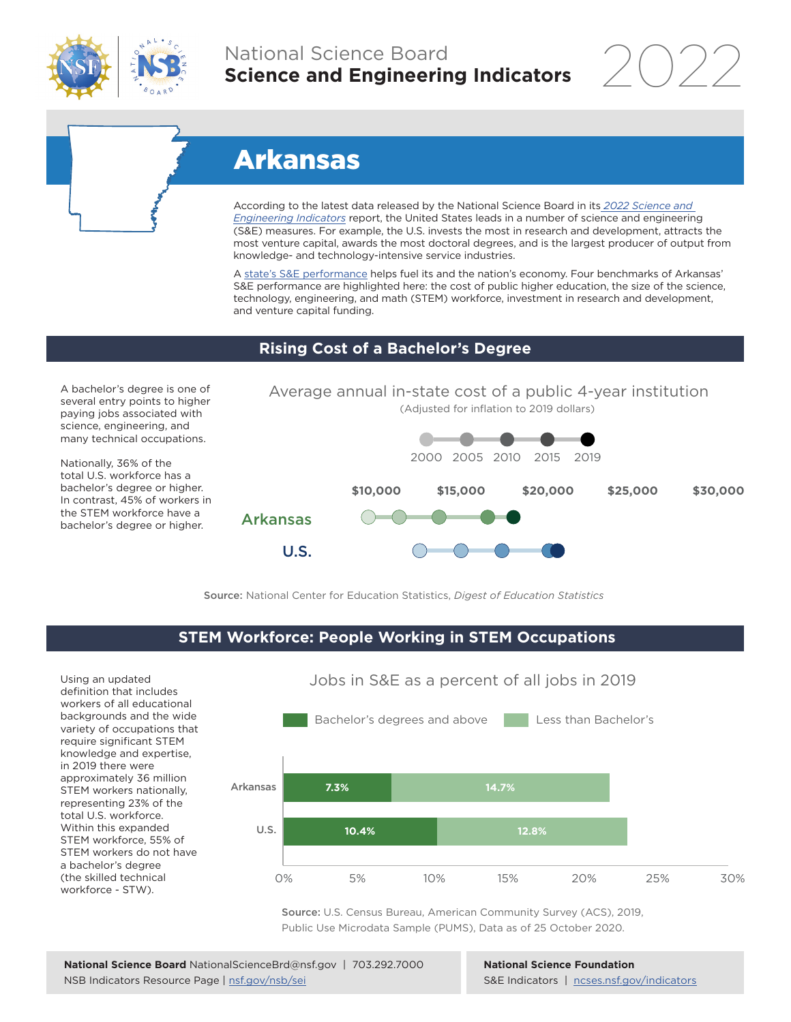

## National Science Board **Science and Engineering Indicators**

2022

# Arkansas

According to the latest data released by the National Science Board in its *[2022 Science and](https://www.ncses.nsf.gov/indicators)  [Engineering Indicators](https://www.ncses.nsf.gov/indicators)* report, the United States leads in a number of science and engineering (S&E) measures. For example, the U.S. invests the most in research and development, attracts the most venture capital, awards the most doctoral degrees, and is the largest producer of output from knowledge- and technology-intensive service industries.

A state's S&E performance helps fuel its and the nation's economy. Four benchmarks of Arkansas' S&E performance are highlighted here: the cost of public higher education, the size of the science, technology, engineering, and math (STEM) workforce, investment in research and development, and venture capital funding.

## **Rising Cost of a Bachelor's Degree**

A bachelor's degree is one of several entry points to higher paying jobs associated with science, engineering, and many technical occupations.

Nationally, 36% of the total U.S. workforce has a bachelor's degree or higher. In contrast, 45% of workers in the STEM workforce have a bachelor's degree or higher.



Source: National Center for Education Statistics, *Digest of Education Statistics*

## **STEM Workforce: People Working in STEM Occupations**

U.S.

Using an updated definition that includes workers of all educational backgrounds and the wide variety of occupations that require significant STEM knowledge and expertise, in 2019 there were approximately 36 million STEM workers nationally, representing 23% of the total U.S. workforce. Within this expanded STEM workforce, 55% of STEM workers do not have a bachelor's degree (the skilled technical workforce - STW).



Jobs in S&E as a percent of all jobs in 2019

Source: U.S. Census Bureau, American Community Survey (ACS), 2019, Public Use Microdata Sample (PUMS), Data as of 25 October 2020.

#### **National Science Foundation** S&E Indicators | [ncses.nsf.gov/indicators](https://www.ncses.nsf.gov/indicators)